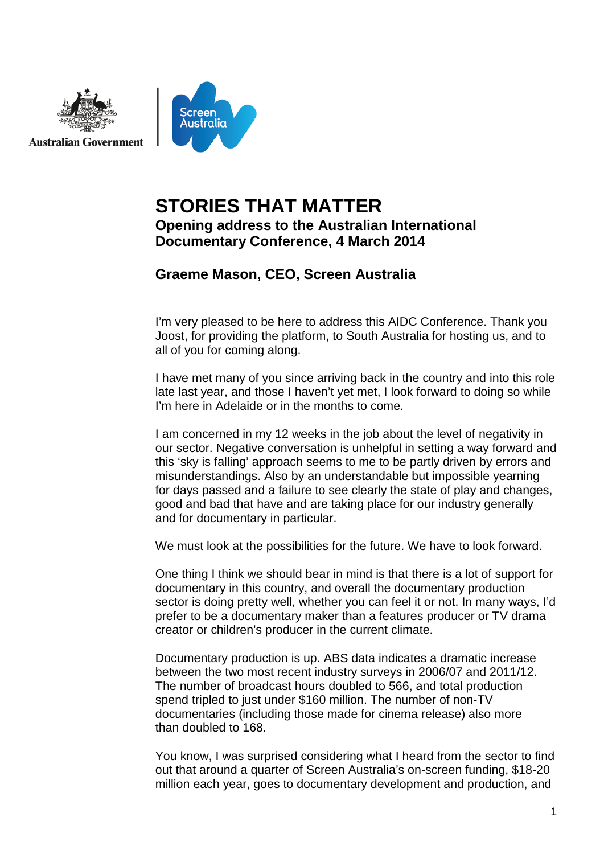

# **STORIES THAT MATTER Opening address to the Australian International Documentary Conference, 4 March 2014**

# **Graeme Mason, CEO, Screen Australia**

I'm very pleased to be here to address this AIDC Conference. Thank you Joost, for providing the platform, to South Australia for hosting us, and to all of you for coming along.

I have met many of you since arriving back in the country and into this role late last year, and those I haven't yet met, I look forward to doing so while I'm here in Adelaide or in the months to come.

I am concerned in my 12 weeks in the job about the level of negativity in our sector. Negative conversation is unhelpful in setting a way forward and this 'sky is falling' approach seems to me to be partly driven by errors and misunderstandings. Also by an understandable but impossible yearning for days passed and a failure to see clearly the state of play and changes, good and bad that have and are taking place for our industry generally and for documentary in particular.

We must look at the possibilities for the future. We have to look forward.

One thing I think we should bear in mind is that there is a lot of support for documentary in this country, and overall the documentary production sector is doing pretty well, whether you can feel it or not. In many ways, I'd prefer to be a documentary maker than a features producer or TV drama creator or children's producer in the current climate.

Documentary production is up. ABS data indicates a dramatic increase between the two most recent industry surveys in 2006/07 and 2011/12. The number of broadcast hours doubled to 566, and total production spend tripled to just under \$160 million. The number of non-TV documentaries (including those made for cinema release) also more than doubled to 168.

You know, I was surprised considering what I heard from the sector to find out that around a quarter of Screen Australia's on-screen funding, \$18-20 million each year, goes to documentary development and production, and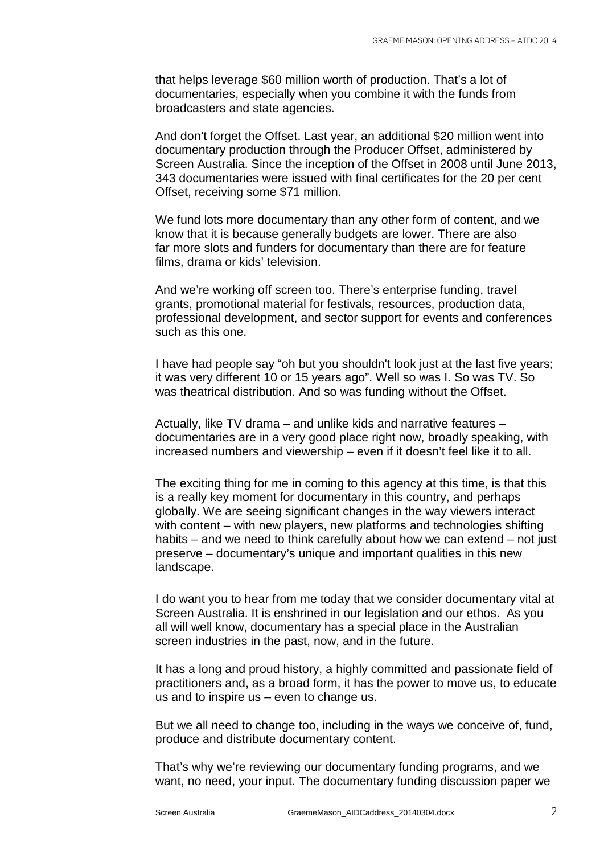that helps leverage \$60 million worth of production. That's a lot of documentaries, especially when you combine it with the funds from broadcasters and state agencies.

And don't forget the Offset. Last year, an additional \$20 million went into documentary production through the Producer Offset, administered by Screen Australia. Since the inception of the Offset in 2008 until June 2013, 343 documentaries were issued with final certificates for the 20 per cent Offset, receiving some \$71 million.

We fund lots more documentary than any other form of content, and we know that it is because generally budgets are lower. There are also far more slots and funders for documentary than there are for feature films, drama or kids' television.

And we're working off screen too. There's enterprise funding, travel grants, promotional material for festivals, resources, production data, professional development, and sector support for events and conferences such as this one.

I have had people say "oh but you shouldn't look just at the last five years; it was very different 10 or 15 years ago". Well so was I. So was TV. So was theatrical distribution. And so was funding without the Offset.

Actually, like TV drama – and unlike kids and narrative features – documentaries are in a very good place right now, broadly speaking, with increased numbers and viewership – even if it doesn't feel like it to all.

The exciting thing for me in coming to this agency at this time, is that this is a really key moment for documentary in this country, and perhaps globally. We are seeing significant changes in the way viewers interact with content – with new players, new platforms and technologies shifting habits – and we need to think carefully about how we can extend – not just preserve – documentary's unique and important qualities in this new landscape.

I do want you to hear from me today that we consider documentary vital at Screen Australia. It is enshrined in our legislation and our ethos. As you all will well know, documentary has a special place in the Australian screen industries in the past, now, and in the future.

It has a long and proud history, a highly committed and passionate field of practitioners and, as a broad form, it has the power to move us, to educate us and to inspire us – even to change us.

But we all need to change too, including in the ways we conceive of, fund, produce and distribute documentary content.

That's why we're reviewing our documentary funding programs, and we want, no need, your input. The documentary funding discussion paper we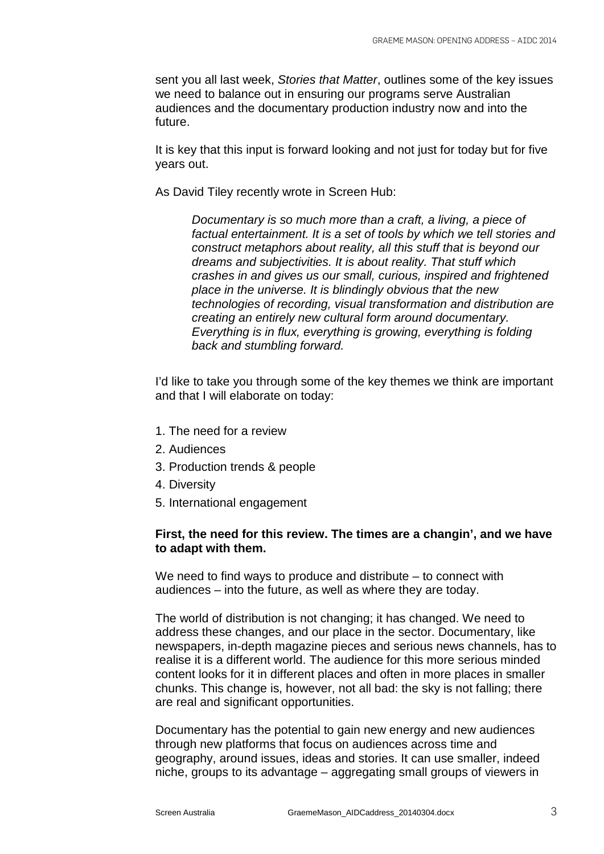sent you all last week, *Stories that Matter*, outlines some of the key issues we need to balance out in ensuring our programs serve Australian audiences and the documentary production industry now and into the future.

It is key that this input is forward looking and not just for today but for five years out.

As David Tiley recently wrote in Screen Hub:

*Documentary is so much more than a craft, a living, a piece of factual entertainment. It is a set of tools by which we tell stories and construct metaphors about reality, all this stuff that is beyond our dreams and subjectivities. It is about reality. That stuff which crashes in and gives us our small, curious, inspired and frightened place in the universe. It is blindingly obvious that the new technologies of recording, visual transformation and distribution are creating an entirely new cultural form around documentary. Everything is in flux, everything is growing, everything is folding back and stumbling forward.*

I'd like to take you through some of the key themes we think are important and that I will elaborate on today:

- 1. The need for a review
- 2. Audiences
- 3. Production trends & people
- 4. Diversity
- 5. International engagement

## **First, the need for this review. The times are a changin', and we have to adapt with them.**

We need to find ways to produce and distribute – to connect with audiences – into the future, as well as where they are today.

The world of distribution is not changing; it has changed. We need to address these changes, and our place in the sector. Documentary, like newspapers, in-depth magazine pieces and serious news channels, has to realise it is a different world. The audience for this more serious minded content looks for it in different places and often in more places in smaller chunks. This change is, however, not all bad: the sky is not falling; there are real and significant opportunities.

Documentary has the potential to gain new energy and new audiences through new platforms that focus on audiences across time and geography, around issues, ideas and stories. It can use smaller, indeed niche, groups to its advantage – aggregating small groups of viewers in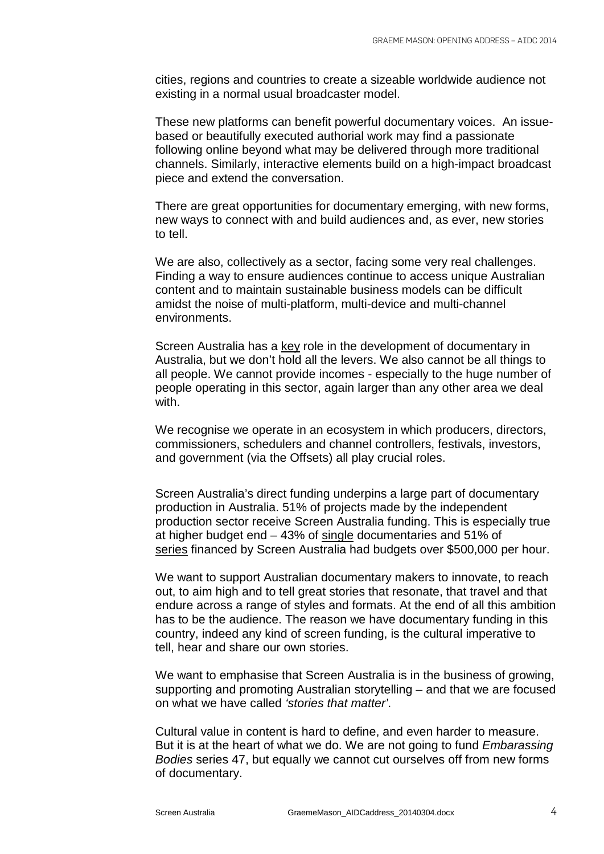cities, regions and countries to create a sizeable worldwide audience not existing in a normal usual broadcaster model.

These new platforms can benefit powerful documentary voices. An issuebased or beautifully executed authorial work may find a passionate following online beyond what may be delivered through more traditional channels. Similarly, interactive elements build on a high-impact broadcast piece and extend the conversation.

There are great opportunities for documentary emerging, with new forms, new ways to connect with and build audiences and, as ever, new stories to tell.

We are also, collectively as a sector, facing some very real challenges. Finding a way to ensure audiences continue to access unique Australian content and to maintain sustainable business models can be difficult amidst the noise of multi-platform, multi-device and multi-channel environments.

Screen Australia has a key role in the development of documentary in Australia, but we don't hold all the levers. We also cannot be all things to all people. We cannot provide incomes - especially to the huge number of people operating in this sector, again larger than any other area we deal with.

We recognise we operate in an ecosystem in which producers, directors, commissioners, schedulers and channel controllers, festivals, investors, and government (via the Offsets) all play crucial roles.

Screen Australia's direct funding underpins a large part of documentary production in Australia. 51% of projects made by the independent production sector receive Screen Australia funding. This is especially true at higher budget end – 43% of single documentaries and 51% of series financed by Screen Australia had budgets over \$500,000 per hour.

We want to support Australian documentary makers to innovate, to reach out, to aim high and to tell great stories that resonate, that travel and that endure across a range of styles and formats. At the end of all this ambition has to be the audience. The reason we have documentary funding in this country, indeed any kind of screen funding, is the cultural imperative to tell, hear and share our own stories.

We want to emphasise that Screen Australia is in the business of growing, supporting and promoting Australian storytelling – and that we are focused on what we have called *'stories that matter'*.

Cultural value in content is hard to define, and even harder to measure. But it is at the heart of what we do. We are not going to fund *Embarassing Bodies* series 47, but equally we cannot cut ourselves off from new forms of documentary.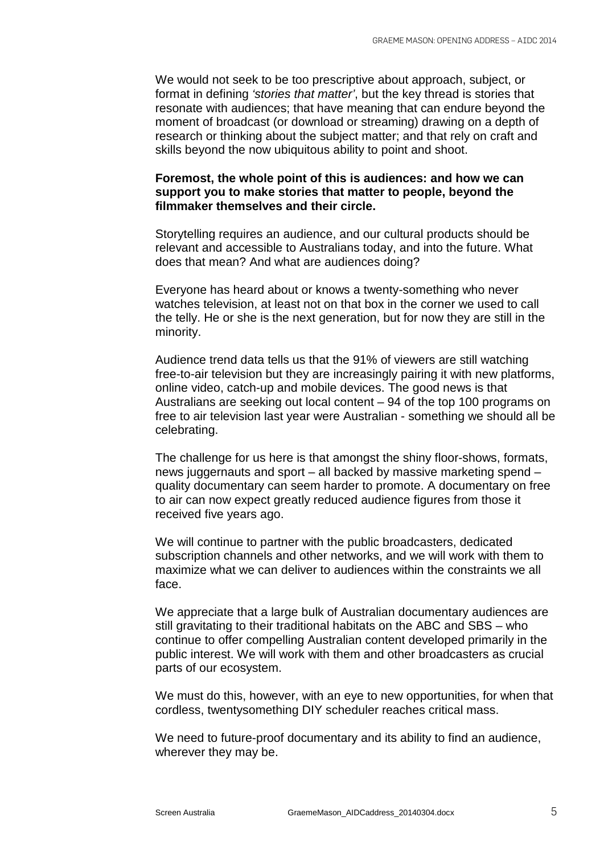We would not seek to be too prescriptive about approach, subject, or format in defining *'stories that matter'*, but the key thread is stories that resonate with audiences; that have meaning that can endure beyond the moment of broadcast (or download or streaming) drawing on a depth of research or thinking about the subject matter; and that rely on craft and skills beyond the now ubiquitous ability to point and shoot.

## **Foremost, the whole point of this is audiences: and how we can support you to make stories that matter to people, beyond the filmmaker themselves and their circle.**

Storytelling requires an audience, and our cultural products should be relevant and accessible to Australians today, and into the future. What does that mean? And what are audiences doing?

Everyone has heard about or knows a twenty-something who never watches television, at least not on that box in the corner we used to call the telly. He or she is the next generation, but for now they are still in the minority.

Audience trend data tells us that the 91% of viewers are still watching free-to-air television but they are increasingly pairing it with new platforms, online video, catch-up and mobile devices. The good news is that Australians are seeking out local content – 94 of the top 100 programs on free to air television last year were Australian - something we should all be celebrating.

The challenge for us here is that amongst the shiny floor-shows, formats, news juggernauts and sport – all backed by massive marketing spend – quality documentary can seem harder to promote. A documentary on free to air can now expect greatly reduced audience figures from those it received five years ago.

We will continue to partner with the public broadcasters, dedicated subscription channels and other networks, and we will work with them to maximize what we can deliver to audiences within the constraints we all face.

We appreciate that a large bulk of Australian documentary audiences are still gravitating to their traditional habitats on the ABC and SBS – who continue to offer compelling Australian content developed primarily in the public interest. We will work with them and other broadcasters as crucial parts of our ecosystem.

We must do this, however, with an eye to new opportunities, for when that cordless, twentysomething DIY scheduler reaches critical mass.

We need to future-proof documentary and its ability to find an audience, wherever they may be.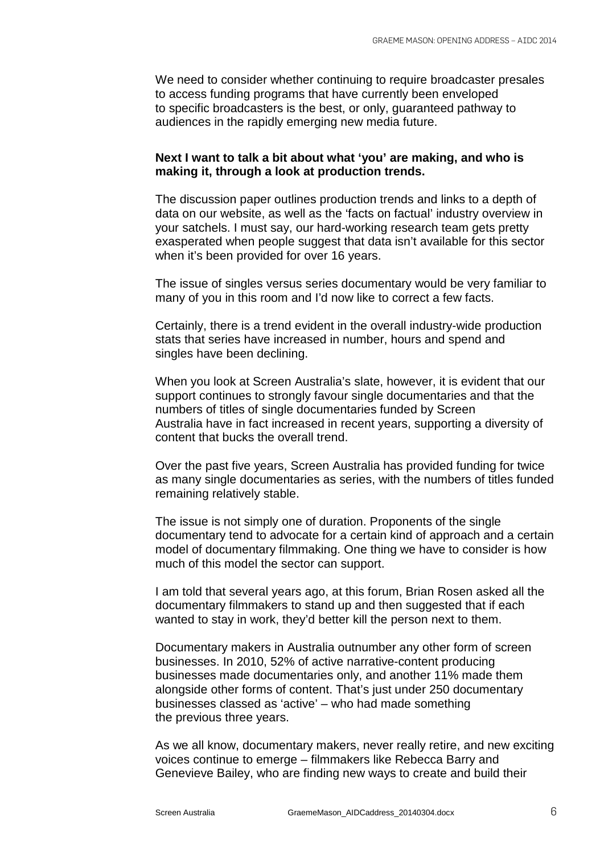We need to consider whether continuing to require broadcaster presales to access funding programs that have currently been enveloped to specific broadcasters is the best, or only, guaranteed pathway to audiences in the rapidly emerging new media future.

### **Next I want to talk a bit about what 'you' are making, and who is making it, through a look at production trends.**

The discussion paper outlines production trends and links to a depth of data on our website, as well as the 'facts on factual' industry overview in your satchels. I must say, our hard-working research team gets pretty exasperated when people suggest that data isn't available for this sector when it's been provided for over 16 years.

The issue of singles versus series documentary would be very familiar to many of you in this room and I'd now like to correct a few facts.

Certainly, there is a trend evident in the overall industry-wide production stats that series have increased in number, hours and spend and singles have been declining.

When you look at Screen Australia's slate, however, it is evident that our support continues to strongly favour single documentaries and that the numbers of titles of single documentaries funded by Screen Australia have in fact increased in recent years, supporting a diversity of content that bucks the overall trend.

Over the past five years, Screen Australia has provided funding for twice as many single documentaries as series, with the numbers of titles funded remaining relatively stable.

The issue is not simply one of duration. Proponents of the single documentary tend to advocate for a certain kind of approach and a certain model of documentary filmmaking. One thing we have to consider is how much of this model the sector can support.

I am told that several years ago, at this forum, Brian Rosen asked all the documentary filmmakers to stand up and then suggested that if each wanted to stay in work, they'd better kill the person next to them.

Documentary makers in Australia outnumber any other form of screen businesses. In 2010, 52% of active narrative-content producing businesses made documentaries only, and another 11% made them alongside other forms of content. That's just under 250 documentary businesses classed as 'active' – who had made something the previous three years.

As we all know, documentary makers, never really retire, and new exciting voices continue to emerge – filmmakers like Rebecca Barry and Genevieve Bailey, who are finding new ways to create and build their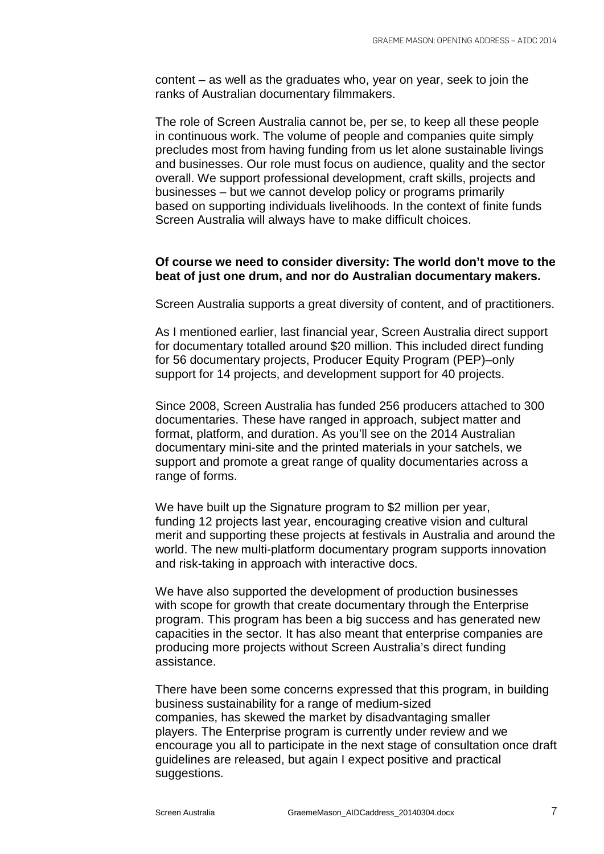content – as well as the graduates who, year on year, seek to join the ranks of Australian documentary filmmakers.

The role of Screen Australia cannot be, per se, to keep all these people in continuous work. The volume of people and companies quite simply precludes most from having funding from us let alone sustainable livings and businesses. Our role must focus on audience, quality and the sector overall. We support professional development, craft skills, projects and businesses – but we cannot develop policy or programs primarily based on supporting individuals livelihoods. In the context of finite funds Screen Australia will always have to make difficult choices.

## **Of course we need to consider diversity: The world don't move to the beat of just one drum, and nor do Australian documentary makers.**

Screen Australia supports a great diversity of content, and of practitioners.

As I mentioned earlier, last financial year, Screen Australia direct support for documentary totalled around \$20 million. This included direct funding for 56 documentary projects, Producer Equity Program (PEP)–only support for 14 projects, and development support for 40 projects.

Since 2008, Screen Australia has funded 256 producers attached to 300 documentaries. These have ranged in approach, subject matter and format, platform, and duration. As you'll see on the 2014 Australian documentary mini-site and the printed materials in your satchels, we support and promote a great range of quality documentaries across a range of forms.

We have built up the Signature program to \$2 million per year, funding 12 projects last year, encouraging creative vision and cultural merit and supporting these projects at festivals in Australia and around the world. The new multi-platform documentary program supports innovation and risk-taking in approach with interactive docs.

We have also supported the development of production businesses with scope for growth that create documentary through the Enterprise program. This program has been a big success and has generated new capacities in the sector. It has also meant that enterprise companies are producing more projects without Screen Australia's direct funding assistance.

There have been some concerns expressed that this program, in building business sustainability for a range of medium-sized companies, has skewed the market by disadvantaging smaller players. The Enterprise program is currently under review and we encourage you all to participate in the next stage of consultation once draft guidelines are released, but again I expect positive and practical suggestions.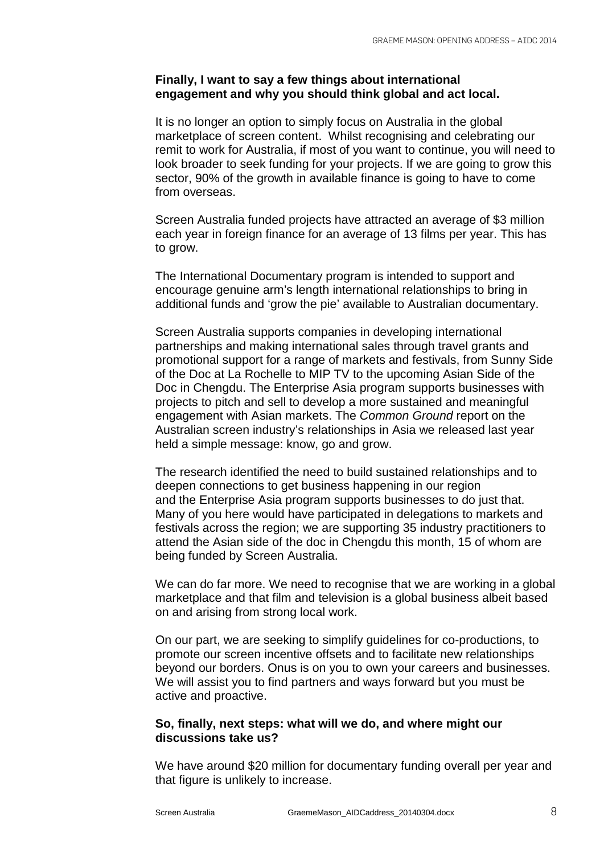## **Finally, I want to say a few things about international engagement and why you should think global and act local.**

It is no longer an option to simply focus on Australia in the global marketplace of screen content. Whilst recognising and celebrating our remit to work for Australia, if most of you want to continue, you will need to look broader to seek funding for your projects. If we are going to grow this sector, 90% of the growth in available finance is going to have to come from overseas.

Screen Australia funded projects have attracted an average of \$3 million each year in foreign finance for an average of 13 films per year. This has to grow.

The International Documentary program is intended to support and encourage genuine arm's length international relationships to bring in additional funds and 'grow the pie' available to Australian documentary.

Screen Australia supports companies in developing international partnerships and making international sales through travel grants and promotional support for a range of markets and festivals, from Sunny Side of the Doc at La Rochelle to MIP TV to the upcoming Asian Side of the Doc in Chengdu. The Enterprise Asia program supports businesses with projects to pitch and sell to develop a more sustained and meaningful engagement with Asian markets. The *Common Ground* report on the Australian screen industry's relationships in Asia we released last year held a simple message: know, go and grow.

The research identified the need to build sustained relationships and to deepen connections to get business happening in our region and the Enterprise Asia program supports businesses to do just that. Many of you here would have participated in delegations to markets and festivals across the region; we are supporting 35 industry practitioners to attend the Asian side of the doc in Chengdu this month, 15 of whom are being funded by Screen Australia.

We can do far more. We need to recognise that we are working in a global marketplace and that film and television is a global business albeit based on and arising from strong local work.

On our part, we are seeking to simplify guidelines for co-productions, to promote our screen incentive offsets and to facilitate new relationships beyond our borders. Onus is on you to own your careers and businesses. We will assist you to find partners and ways forward but you must be active and proactive.

## **So, finally, next steps: what will we do, and where might our discussions take us?**

We have around \$20 million for documentary funding overall per year and that figure is unlikely to increase.